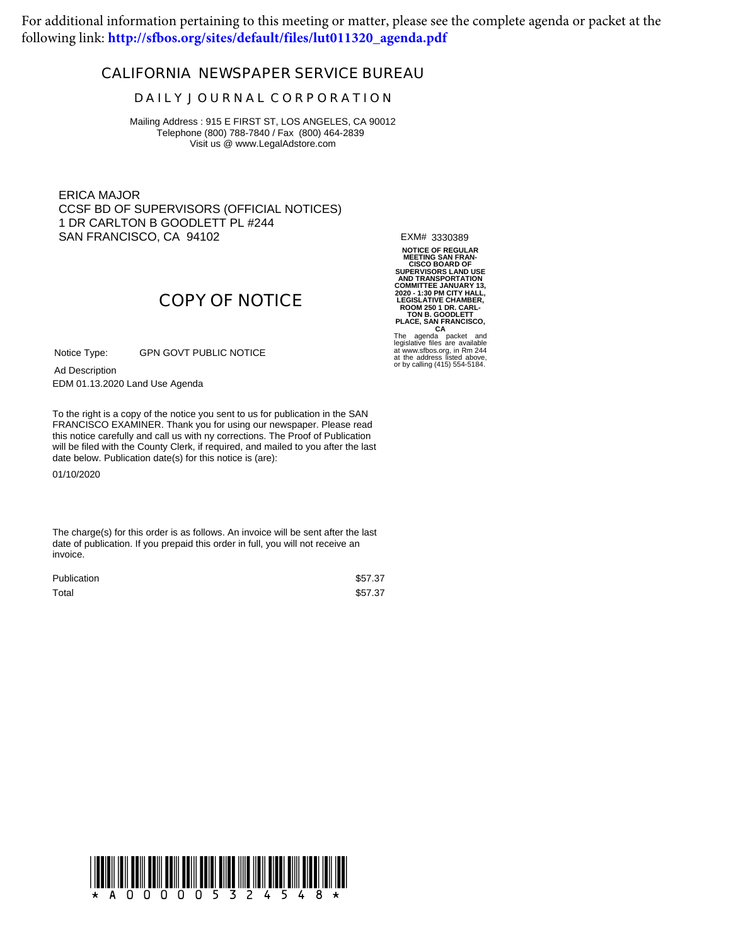For additional information pertaining to this meeting or matter, please see the complete agenda or packet at the following link: **[http://sfbos.org/sites/default/files/lut011320\\_agenda.pdf](http://sfbos.org/sites/default/files/lut011320_agenda.pdf)**

## **CALIFORNIA NEWSPAPER SERVICE BUREAU**

## **D A I L Y J O U R N A L C O R P O R A T I O N**

Mailing Address : 915 E FIRST ST, LOS ANGELES, CA 90012 Telephone (800) 788-7840 / Fax (800) 464-2839 Visit us @ www.LegalAdstore.com

ERICA MAJOR CCSF BD OF SUPERVISORS (OFFICIAL NOTICES) 1 DR CARLTON B GOODLETT PL #244 SAN FRANCISCO, CA 94102

EXM# 3330389

**NOTICE OF REGULAR MEETING SAN FRAN-CISCO BOARD OF SUPERVISORS LAND USE AND TRANSPORTATION** COMMITTEE JANUARY 13,<br>2020 - 1:30 PM CITY HALL,<br>LEGISLATIVE CHAMBER,<br>ROOM 250 1 DR. CARL-<br>TON B. GOODLETT<br>PLACE, SAN FRANCISCO,<br>The agenda packet and<br>legislative files are available<br>at tww.sfbos.org, in Rm 244<br>at the addre

or by calling (415) 554-5184.

## **COPY OF NOTICE**

GPN GOVT PUBLIC NOTICE Notice Type:

EDM 01.13.2020 Land Use Agenda Ad Description

FRANCISCO EXAMINER. Thank you for using our newspaper. Please read<br>this notice carefully and call us with ny corrections. The Proof of Publication To the right is a copy of the notice you sent to us for publication in the SAN FRANCISCO EXAMINER. Thank you for using our newspaper. Please read will be filed with the County Clerk, if required, and mailed to you after the last date below. Publication date(s) for this notice is (are):

01/10/2020

The charge(s) for this order is as follows. An invoice will be sent after the last date of publication. If you prepaid this order in full, you will not receive an invoice.

| Publication | \$57.37 |
|-------------|---------|
| Total       | \$57.37 |

!A000005324548!